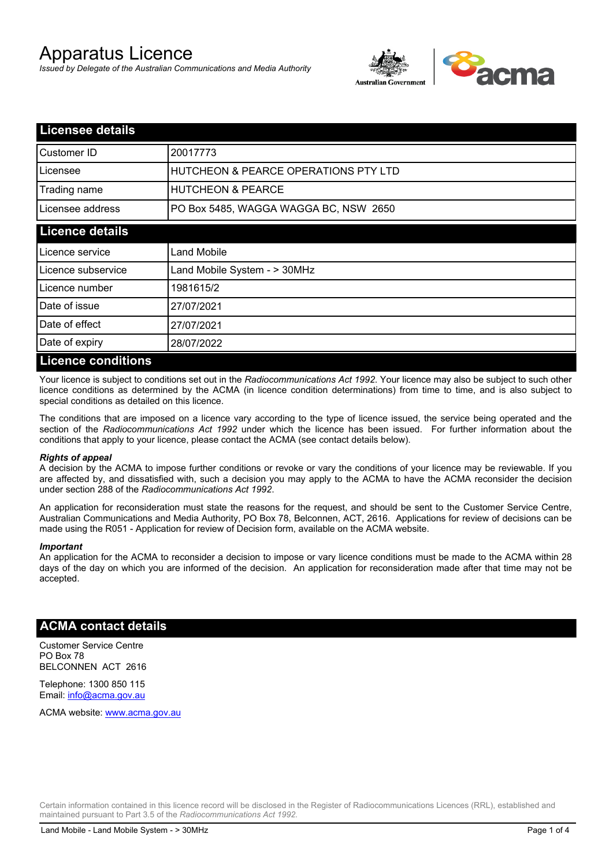# Apparatus Licence

*Issued by Delegate of the Australian Communications and Media Authority*



| <b>Licensee details</b>   |                                                 |  |
|---------------------------|-------------------------------------------------|--|
| Customer ID               | 20017773                                        |  |
| Licensee                  | <b>HUTCHEON &amp; PEARCE OPERATIONS PTY LTD</b> |  |
| Trading name              | <b>HUTCHEON &amp; PEARCE</b>                    |  |
| Licensee address          | PO Box 5485, WAGGA WAGGA BC, NSW 2650           |  |
| <b>Licence details</b>    |                                                 |  |
| Licence service           | Land Mobile                                     |  |
| Licence subservice        | Land Mobile System - > 30MHz                    |  |
| Licence number            | 1981615/2                                       |  |
| Date of issue             | 27/07/2021                                      |  |
| Date of effect            | 27/07/2021                                      |  |
| Date of expiry            | 28/07/2022                                      |  |
| <b>Licence conditions</b> |                                                 |  |

Your licence is subject to conditions set out in the *Radiocommunications Act 1992*. Your licence may also be subject to such other licence conditions as determined by the ACMA (in licence condition determinations) from time to time, and is also subject to special conditions as detailed on this licence.

The conditions that are imposed on a licence vary according to the type of licence issued, the service being operated and the section of the *Radiocommunications Act 1992* under which the licence has been issued. For further information about the conditions that apply to your licence, please contact the ACMA (see contact details below).

#### *Rights of appeal*

A decision by the ACMA to impose further conditions or revoke or vary the conditions of your licence may be reviewable. If you are affected by, and dissatisfied with, such a decision you may apply to the ACMA to have the ACMA reconsider the decision under section 288 of the *Radiocommunications Act 1992*.

An application for reconsideration must state the reasons for the request, and should be sent to the Customer Service Centre, Australian Communications and Media Authority, PO Box 78, Belconnen, ACT, 2616. Applications for review of decisions can be made using the R051 - Application for review of Decision form, available on the ACMA website.

#### *Important*

An application for the ACMA to reconsider a decision to impose or vary licence conditions must be made to the ACMA within 28 days of the day on which you are informed of the decision. An application for reconsideration made after that time may not be accepted.

#### **ACMA contact details**

Customer Service Centre PO Box 78 BELCONNEN ACT 2616

Telephone: 1300 850 115 Email: info@acma.gov.au

ACMA website: www.acma.gov.au

Certain information contained in this licence record will be disclosed in the Register of Radiocommunications Licences (RRL), established and maintained pursuant to Part 3.5 of the *Radiocommunications Act 1992.*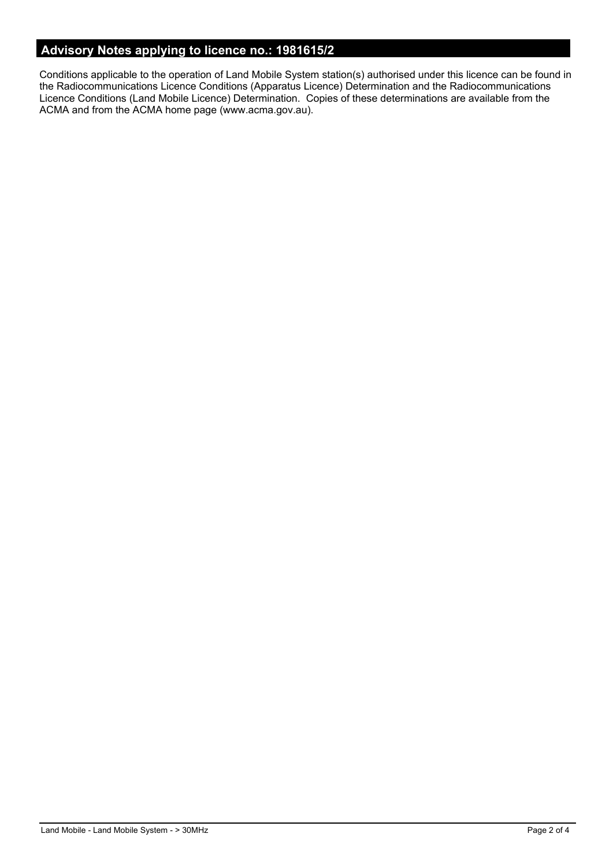# **Advisory Notes applying to licence no.: 1981615/2**

Conditions applicable to the operation of Land Mobile System station(s) authorised under this licence can be found in the Radiocommunications Licence Conditions (Apparatus Licence) Determination and the Radiocommunications Licence Conditions (Land Mobile Licence) Determination. Copies of these determinations are available from the ACMA and from the ACMA home page (www.acma.gov.au).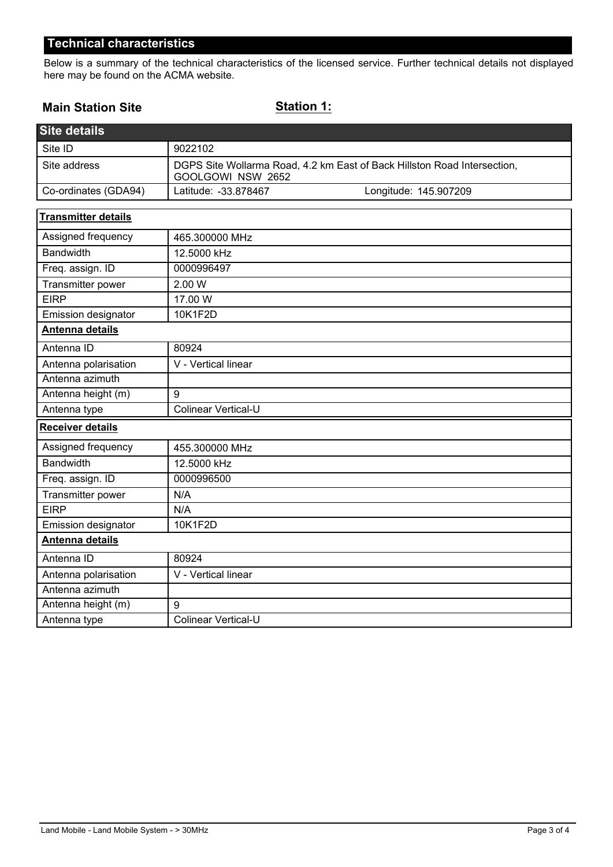## **Technical characteristics**

Below is a summary of the technical characteristics of the licensed service. Further technical details not displayed here may be found on the ACMA website.

### **Main Station Site**

**Station 1:**

| <b>Site details</b>        |                                                                                               |                       |  |
|----------------------------|-----------------------------------------------------------------------------------------------|-----------------------|--|
| Site ID                    | 9022102                                                                                       |                       |  |
| Site address               | DGPS Site Wollarma Road, 4.2 km East of Back Hillston Road Intersection,<br>GOOLGOWI NSW 2652 |                       |  |
| Co-ordinates (GDA94)       | Latitude: -33.878467                                                                          | Longitude: 145.907209 |  |
| <b>Transmitter details</b> |                                                                                               |                       |  |
| Assigned frequency         | 465.300000 MHz                                                                                |                       |  |
| <b>Bandwidth</b>           | 12.5000 kHz                                                                                   |                       |  |
| Freq. assign. ID           | 0000996497                                                                                    |                       |  |
| Transmitter power          | 2.00 W                                                                                        |                       |  |
| <b>EIRP</b>                | 17.00 W                                                                                       |                       |  |
| Emission designator        | 10K1F2D                                                                                       |                       |  |
| Antenna details            |                                                                                               |                       |  |
| Antenna ID                 | 80924                                                                                         |                       |  |
| Antenna polarisation       | V - Vertical linear                                                                           |                       |  |
| Antenna azimuth            |                                                                                               |                       |  |
| Antenna height (m)         | 9                                                                                             |                       |  |
| Antenna type               | Colinear Vertical-U                                                                           |                       |  |
| <b>Receiver details</b>    |                                                                                               |                       |  |
| Assigned frequency         | 455.300000 MHz                                                                                |                       |  |
| <b>Bandwidth</b>           | 12.5000 kHz                                                                                   |                       |  |
| Freq. assign. ID           | 0000996500                                                                                    |                       |  |
| Transmitter power          | N/A                                                                                           |                       |  |
| <b>EIRP</b>                | N/A                                                                                           |                       |  |
| Emission designator        | 10K1F2D                                                                                       |                       |  |
| Antenna details            |                                                                                               |                       |  |
| Antenna ID                 | 80924                                                                                         |                       |  |
| Antenna polarisation       | V - Vertical linear                                                                           |                       |  |
| Antenna azimuth            |                                                                                               |                       |  |
| Antenna height (m)         | 9                                                                                             |                       |  |
| Antenna type               | <b>Colinear Vertical-U</b>                                                                    |                       |  |